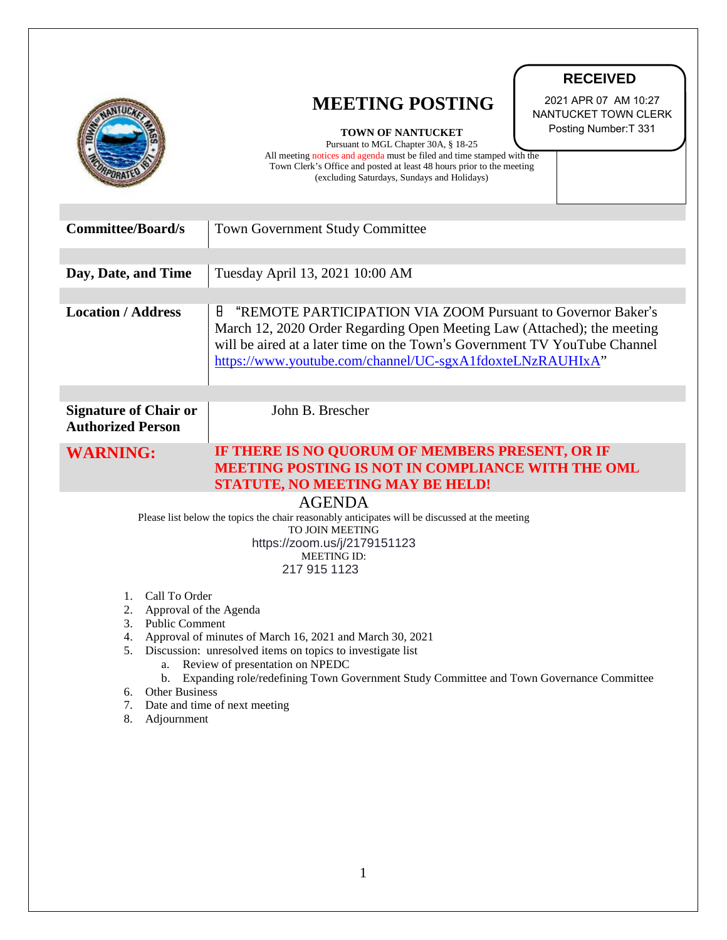|                                                                                                                                                                                                                                                                                                                                                                                                                                  | <b>RECEIVED</b><br>2021 APR 07 AM 10:27<br><b>MEETING POSTING</b><br>NANTUCKET TOWN CLERK<br>Posting Number: T 331<br><b>TOWN OF NANTUCKET</b><br>Pursuant to MGL Chapter 30A, § 18-25<br>All meeting notices and agenda must be filed and time stamped with the<br>Town Clerk's Office and posted at least 48 hours prior to the meeting<br>(excluding Saturdays, Sundays and Holidays) |
|----------------------------------------------------------------------------------------------------------------------------------------------------------------------------------------------------------------------------------------------------------------------------------------------------------------------------------------------------------------------------------------------------------------------------------|------------------------------------------------------------------------------------------------------------------------------------------------------------------------------------------------------------------------------------------------------------------------------------------------------------------------------------------------------------------------------------------|
| <b>Committee/Board/s</b>                                                                                                                                                                                                                                                                                                                                                                                                         | <b>Town Government Study Committee</b>                                                                                                                                                                                                                                                                                                                                                   |
| Day, Date, and Time                                                                                                                                                                                                                                                                                                                                                                                                              | Tuesday April 13, 2021 10:00 AM                                                                                                                                                                                                                                                                                                                                                          |
| <b>Location / Address</b>                                                                                                                                                                                                                                                                                                                                                                                                        | 8<br>"REMOTE PARTICIPATION VIA ZOOM Pursuant to Governor Baker's<br>March 12, 2020 Order Regarding Open Meeting Law (Attached); the meeting<br>will be aired at a later time on the Town's Government TV YouTube Channel<br>https://www.youtube.com/channel/UC-sgxA1fdoxteLNzRAUHIxA"                                                                                                    |
| <b>Signature of Chair or</b><br><b>Authorized Person</b>                                                                                                                                                                                                                                                                                                                                                                         | John B. Brescher                                                                                                                                                                                                                                                                                                                                                                         |
| <b>WARNING:</b>                                                                                                                                                                                                                                                                                                                                                                                                                  | IF THERE IS NO QUORUM OF MEMBERS PRESENT, OR IF<br>MEETING POSTING IS NOT IN COMPLIANCE WITH THE OML<br><b>STATUTE, NO MEETING MAY BE HELD!</b>                                                                                                                                                                                                                                          |
| <b>AGENDA</b><br>Please list below the topics the chair reasonably anticipates will be discussed at the meeting<br><b>TO JOIN MEETING</b><br>https://zoom.us/j/2179151123<br><b>MEETING ID:</b><br>217 915 1123                                                                                                                                                                                                                  |                                                                                                                                                                                                                                                                                                                                                                                          |
| 1. Call To Order<br>Approval of the Agenda<br>2.<br>3. Public Comment<br>Approval of minutes of March 16, 2021 and March 30, 2021<br>4.<br>Discussion: unresolved items on topics to investigate list<br>5.<br>a. Review of presentation on NPEDC<br>b. Expanding role/redefining Town Government Study Committee and Town Governance Committee<br>Other Business<br>6.<br>7. Date and time of next meeting<br>Adjournment<br>8. |                                                                                                                                                                                                                                                                                                                                                                                          |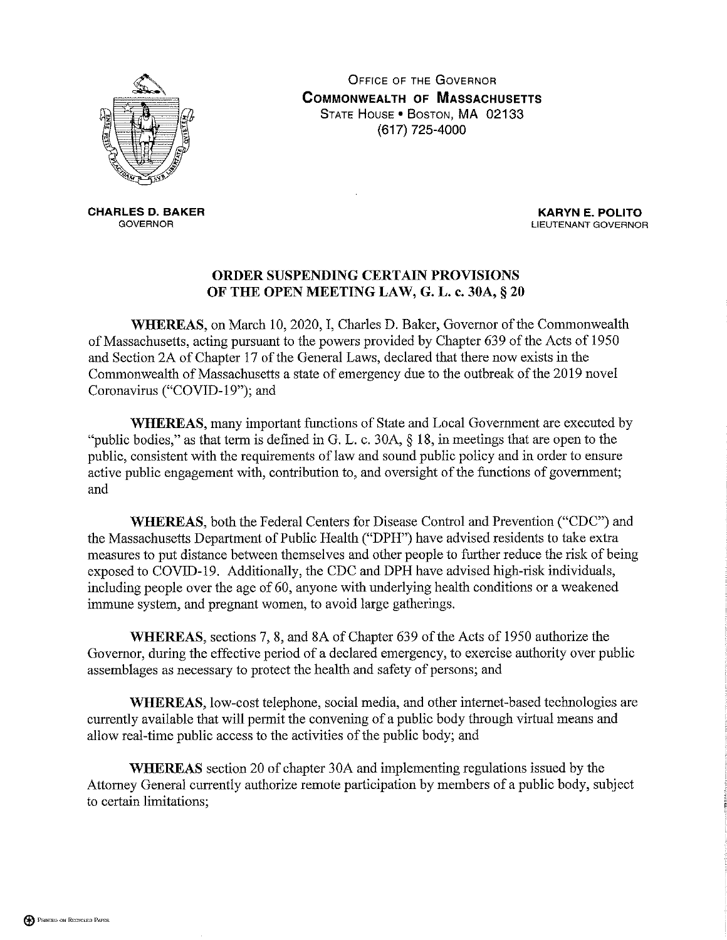

**OFFICE OF THE GOVERNOR COMMONWEALTH OF MASSACHUSETTS** STATE HOUSE . BOSTON, MA 02133 (617) 725-4000

**CHARLES D. BAKER GOVERNOR** 

**KARYN E. POLITO** LIEUTENANT GOVERNOR

## ORDER SUSPENDING CERTAIN PROVISIONS OF THE OPEN MEETING LAW, G. L. c. 30A, § 20

WHEREAS, on March 10, 2020, I, Charles D. Baker, Governor of the Commonwealth of Massachusetts, acting pursuant to the powers provided by Chapter 639 of the Acts of 1950 and Section 2A of Chapter 17 of the General Laws, declared that there now exists in the Commonwealth of Massachusetts a state of emergency due to the outbreak of the 2019 novel Coronavirus ("COVID-19"); and

**WHEREAS**, many important functions of State and Local Government are executed by "public bodies," as that term is defined in G. L. c. 30A,  $\S$  18, in meetings that are open to the public, consistent with the requirements of law and sound public policy and in order to ensure active public engagement with, contribution to, and oversight of the functions of government; and

WHEREAS, both the Federal Centers for Disease Control and Prevention ("CDC") and the Massachusetts Department of Public Health ("DPH") have advised residents to take extra measures to put distance between themselves and other people to further reduce the risk of being exposed to COVID-19. Additionally, the CDC and DPH have advised high-risk individuals, including people over the age of 60, anyone with underlying health conditions or a weakened immune system, and pregnant women, to avoid large gatherings.

WHEREAS, sections 7, 8, and 8A of Chapter 639 of the Acts of 1950 authorize the Governor, during the effective period of a declared emergency, to exercise authority over public assemblages as necessary to protect the health and safety of persons; and

WHEREAS, low-cost telephone, social media, and other internet-based technologies are currently available that will permit the convening of a public body through virtual means and allow real-time public access to the activities of the public body; and

**WHEREAS** section 20 of chapter 30A and implementing regulations issued by the Attorney General currently authorize remote participation by members of a public body, subject to certain limitations;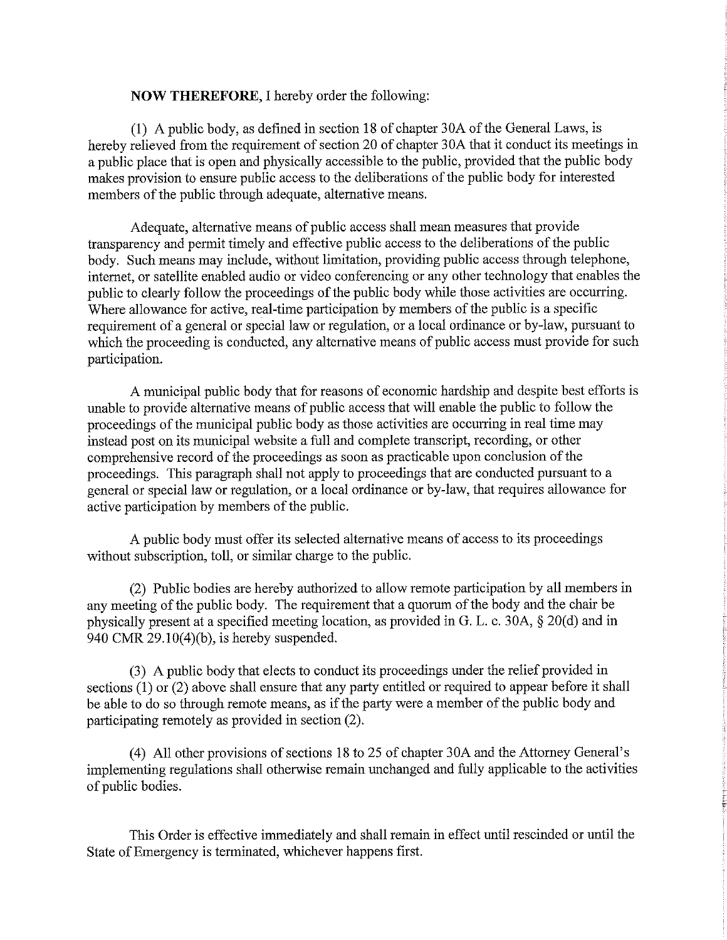## **NOW THEREFORE, I hereby order the following:**

(1) A public body, as defined in section 18 of chapter 30A of the General Laws, is hereby relieved from the requirement of section 20 of chapter 30A that it conduct its meetings in a public place that is open and physically accessible to the public, provided that the public body makes provision to ensure public access to the deliberations of the public body for interested members of the public through adequate, alternative means.

Adequate, alternative means of public access shall mean measures that provide transparency and permit timely and effective public access to the deliberations of the public body. Such means may include, without limitation, providing public access through telephone, internet, or satellite enabled audio or video conferencing or any other technology that enables the public to clearly follow the proceedings of the public body while those activities are occurring. Where allowance for active, real-time participation by members of the public is a specific requirement of a general or special law or regulation, or a local ordinance or by-law, pursuant to which the proceeding is conducted, any alternative means of public access must provide for such participation.

A municipal public body that for reasons of economic hardship and despite best efforts is unable to provide alternative means of public access that will enable the public to follow the proceedings of the municipal public body as those activities are occurring in real time may instead post on its municipal website a full and complete transcript, recording, or other comprehensive record of the proceedings as soon as practicable upon conclusion of the proceedings. This paragraph shall not apply to proceedings that are conducted pursuant to a general or special law or regulation, or a local ordinance or by-law, that requires allowance for active participation by members of the public.

A public body must offer its selected alternative means of access to its proceedings without subscription, toll, or similar charge to the public.

(2) Public bodies are hereby authorized to allow remote participation by all members in any meeting of the public body. The requirement that a quorum of the body and the chair be physically present at a specified meeting location, as provided in G. L. c. 30A, § 20(d) and in 940 CMR  $29.10(4)(b)$ , is hereby suspended.

(3) A public body that elects to conduct its proceedings under the relief provided in sections  $(1)$  or  $(2)$  above shall ensure that any party entitled or required to appear before it shall be able to do so through remote means, as if the party were a member of the public body and participating remotely as provided in section (2).

(4) All other provisions of sections 18 to 25 of chapter 30A and the Attorney General's implementing regulations shall otherwise remain unchanged and fully applicable to the activities of public bodies.

This Order is effective immediately and shall remain in effect until rescinded or until the State of Emergency is terminated, whichever happens first.